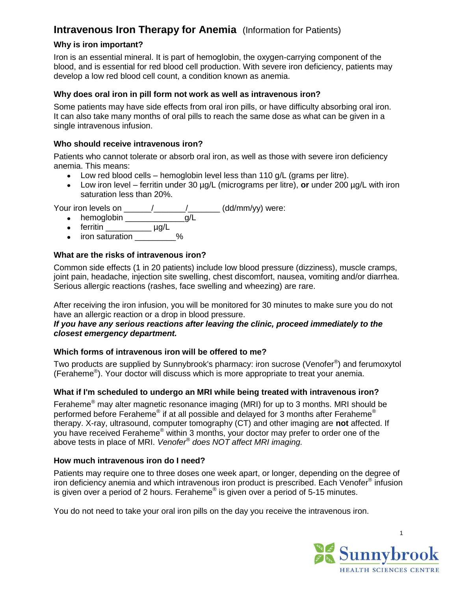# **Intravenous Iron Therapy for Anemia** (Information for Patients)

# **Why is iron important?**

Iron is an essential mineral. It is part of hemoglobin, the oxygen-carrying component of the blood, and is essential for red blood cell production. With severe iron deficiency, patients may develop a low red blood cell count, a condition known as anemia.

# **Why does oral iron in pill form not work as well as intravenous iron?**

Some patients may have side effects from oral iron pills, or have difficulty absorbing oral iron. It can also take many months of oral pills to reach the same dose as what can be given in a single intravenous infusion.

## **Who should receive intravenous iron?**

Patients who cannot tolerate or absorb oral iron, as well as those with severe iron deficiency anemia. This means:

- **Low red blood cells hemoglobin level less than 110 g/L (grams per litre).**
- Low iron level ferritin under 30 µg/L (micrograms per litre), **or** under 200 µg/L with iron saturation less than 20%.

Your iron levels on \_\_\_\_\_\_/\_\_\_\_\_\_\_\_/\_\_\_\_\_\_\_\_(dd/mm/yy) were:

- hemoglobin \_\_\_\_\_\_\_\_\_\_\_\_\_\_g/L
- ferritin \_\_\_\_\_\_\_\_\_\_\_\_\_\_ µg/L
- iron saturation  $\%$

# **What are the risks of intravenous iron?**

Common side effects (1 in 20 patients) include low blood pressure (dizziness), muscle cramps, joint pain, headache, injection site swelling, chest discomfort, nausea, vomiting and/or diarrhea. Serious allergic reactions (rashes, face swelling and wheezing) are rare.

After receiving the iron infusion, you will be monitored for 30 minutes to make sure you do not have an allergic reaction or a drop in blood pressure.

## *If you have any serious reactions after leaving the clinic, proceed immediately to the closest emergency department.*

## **Which forms of intravenous iron will be offered to me?**

Two products are supplied by Sunnybrook's pharmacy: iron sucrose (Venofer®) and ferumoxytol (Feraheme® ). Your doctor will discuss which is more appropriate to treat your anemia.

## **What if I'm scheduled to undergo an MRI while being treated with intravenous iron?**

Feraheme<sup>®</sup> may alter magnetic resonance imaging (MRI) for up to 3 months. MRI should be performed before Feraheme® if at all possible and delayed for 3 months after Feraheme® therapy. X-ray, ultrasound, computer tomography (CT) and other imaging are **not** affected. If you have received Feraheme® within 3 months, your doctor may prefer to order one of the above tests in place of MRI. *Venofer® does NOT affect MRI imaging.* 

## **How much intravenous iron do I need?**

Patients may require one to three doses one week apart, or longer, depending on the degree of iron deficiency anemia and which intravenous iron product is prescribed. Each Venofer® infusion is given over a period of 2 hours. Feraheme® is given over a period of 5-15 minutes.

You do not need to take your oral iron pills on the day you receive the intravenous iron.